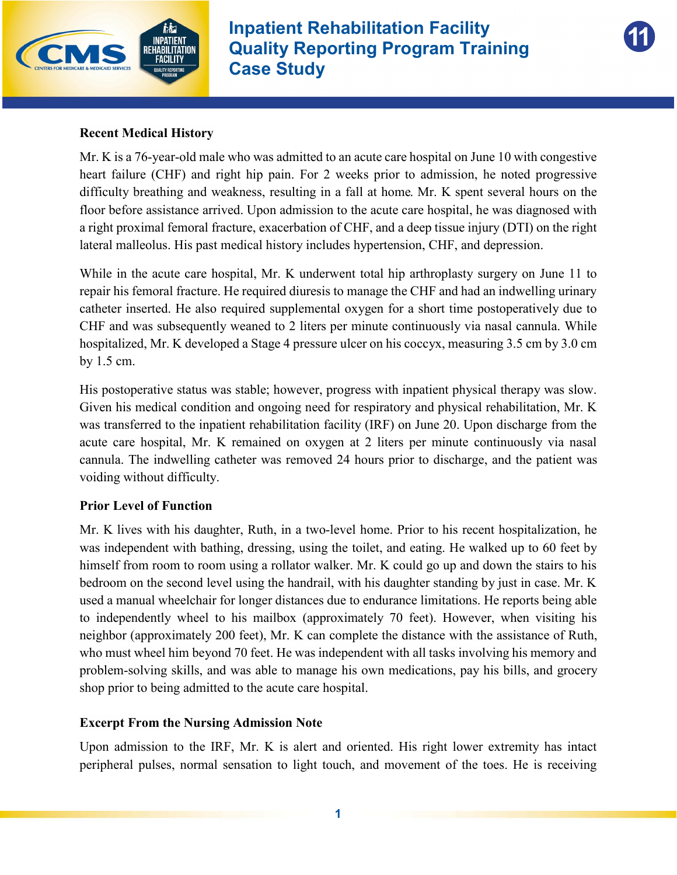



#### **Recent Medical History**

Mr. K is a 76-year-old male who was admitted to an acute care hospital on June 10 with congestive heart failure (CHF) and right hip pain. For 2 weeks prior to admission, he noted progressive difficulty breathing and weakness, resulting in a fall at home. Mr. K spent several hours on the floor before assistance arrived. Upon admission to the acute care hospital, he was diagnosed with a right proximal femoral fracture, exacerbation of CHF, and a deep tissue injury (DTI) on the right lateral malleolus. His past medical history includes hypertension, CHF, and depression.

While in the acute care hospital, Mr. K underwent total hip arthroplasty surgery on June 11 to repair his femoral fracture. He required diuresis to manage the CHF and had an indwelling urinary catheter inserted. He also required supplemental oxygen for a short time postoperatively due to CHF and was subsequently weaned to 2 liters per minute continuously via nasal cannula. While hospitalized, Mr. K developed a Stage 4 pressure ulcer on his coccyx, measuring 3.5 cm by 3.0 cm by 1.5 cm.

His postoperative status was stable; however, progress with inpatient physical therapy was slow. Given his medical condition and ongoing need for respiratory and physical rehabilitation, Mr. K was transferred to the inpatient rehabilitation facility (IRF) on June 20. Upon discharge from the acute care hospital, Mr. K remained on oxygen at 2 liters per minute continuously via nasal cannula. The indwelling catheter was removed 24 hours prior to discharge, and the patient was voiding without difficulty.

#### **Prior Level of Function**

Mr. K lives with his daughter, Ruth, in a two-level home. Prior to his recent hospitalization, he was independent with bathing, dressing, using the toilet, and eating. He walked up to 60 feet by himself from room to room using a rollator walker. Mr. K could go up and down the stairs to his bedroom on the second level using the handrail, with his daughter standing by just in case. Mr. K used a manual wheelchair for longer distances due to endurance limitations. He reports being able to independently wheel to his mailbox (approximately 70 feet). However, when visiting his neighbor (approximately 200 feet), Mr. K can complete the distance with the assistance of Ruth, who must wheel him beyond 70 feet. He was independent with all tasks involving his memory and problem-solving skills, and was able to manage his own medications, pay his bills, and grocery shop prior to being admitted to the acute care hospital.

#### **Excerpt From the Nursing Admission Note**

Upon admission to the IRF, Mr. K is alert and oriented. His right lower extremity has intact peripheral pulses, normal sensation to light touch, and movement of the toes. He is receiving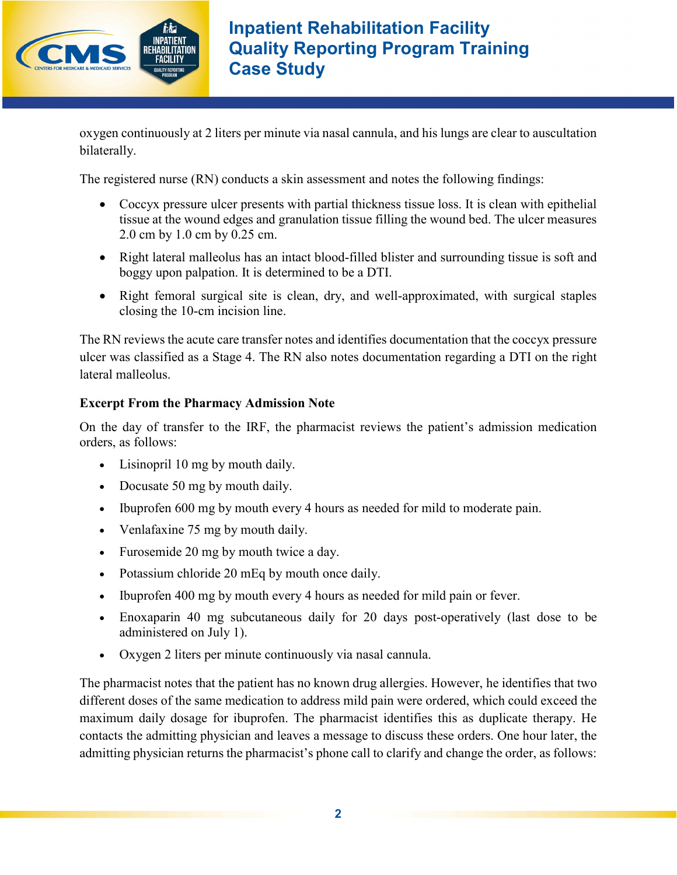

oxygen continuously at 2 liters per minute via nasal cannula, and his lungs are clear to auscultation bilaterally.

The registered nurse (RN) conducts a skin assessment and notes the following findings:

- · Coccyx pressure ulcer presents with partial thickness tissue loss. It is clean with epithelial tissue at the wound edges and granulation tissue filling the wound bed. The ulcer measures 2.0 cm by 1.0 cm by 0.25 cm.
- Right lateral malleolus has an intact blood-filled blister and surrounding tissue is soft and boggy upon palpation. It is determined to be a DTI.
- Right femoral surgical site is clean, dry, and well-approximated, with surgical staples closing the 10-cm incision line.

The RN reviews the acute care transfer notes and identifies documentation that the coccyx pressure ulcer was classified as a Stage 4. The RN also notes documentation regarding a DTI on the right lateral malleolus.

# **Excerpt From the Pharmacy Admission Note**

On the day of transfer to the IRF, the pharmacist reviews the patient's admission medication orders, as follows:

- · Lisinopril 10 mg by mouth daily.
- · Docusate 50 mg by mouth daily.
- · Ibuprofen 600 mg by mouth every 4 hours as needed for mild to moderate pain.
- · Venlafaxine 75 mg by mouth daily.
- · Furosemide 20 mg by mouth twice a day.
- Potassium chloride 20 mEq by mouth once daily.
- · Ibuprofen 400 mg by mouth every 4 hours as needed for mild pain or fever.
- · Enoxaparin 40 mg subcutaneous daily for 20 days post-operatively (last dose to be administered on July 1).
- · Oxygen 2 liters per minute continuously via nasal cannula.

The pharmacist notes that the patient has no known drug allergies. However, he identifies that two different doses of the same medication to address mild pain were ordered, which could exceed the maximum daily dosage for ibuprofen. The pharmacist identifies this as duplicate therapy. He contacts the admitting physician and leaves a message to discuss these orders. One hour later, the admitting physician returns the pharmacist's phone call to clarify and change the order, as follows: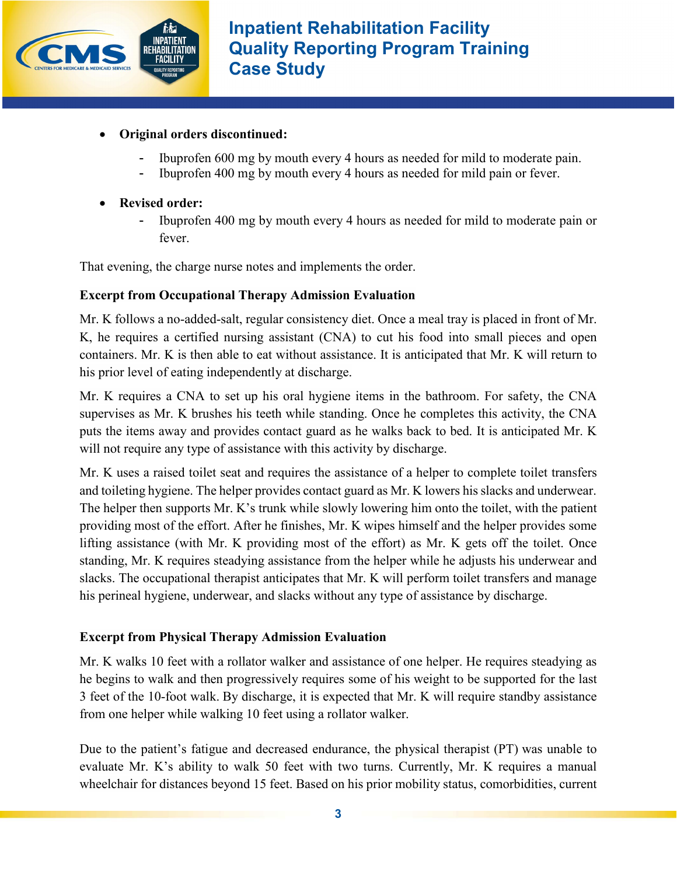

- · **Original orders discontinued:** 
	- Ibuprofen 600 mg by mouth every 4 hours as needed for mild to moderate pain.
	- Ibuprofen 400 mg by mouth every 4 hours as needed for mild pain or fever.
- · **Revised order:**
	- Ibuprofen 400 mg by mouth every 4 hours as needed for mild to moderate pain or fever.

That evening, the charge nurse notes and implements the order.

# **Excerpt from Occupational Therapy Admission Evaluation**

Mr. K follows a no-added-salt, regular consistency diet. Once a meal tray is placed in front of Mr. K, he requires a certified nursing assistant (CNA) to cut his food into small pieces and open containers. Mr. K is then able to eat without assistance. It is anticipated that Mr. K will return to his prior level of eating independently at discharge.

Mr. K requires a CNA to set up his oral hygiene items in the bathroom. For safety, the CNA supervises as Mr. K brushes his teeth while standing. Once he completes this activity, the CNA puts the items away and provides contact guard as he walks back to bed. It is anticipated Mr. K will not require any type of assistance with this activity by discharge.

Mr. K uses a raised toilet seat and requires the assistance of a helper to complete toilet transfers and toileting hygiene. The helper provides contact guard as Mr. K lowers his slacks and underwear. The helper then supports Mr. K's trunk while slowly lowering him onto the toilet, with the patient providing most of the effort. After he finishes, Mr. K wipes himself and the helper provides some lifting assistance (with Mr. K providing most of the effort) as Mr. K gets off the toilet. Once standing, Mr. K requires steadying assistance from the helper while he adjusts his underwear and slacks. The occupational therapist anticipates that Mr. K will perform toilet transfers and manage his perineal hygiene, underwear, and slacks without any type of assistance by discharge.

# **Excerpt from Physical Therapy Admission Evaluation**

Mr. K walks 10 feet with a rollator walker and assistance of one helper. He requires steadying as he begins to walk and then progressively requires some of his weight to be supported for the last 3 feet of the 10-foot walk. By discharge, it is expected that Mr. K will require standby assistance from one helper while walking 10 feet using a rollator walker.

Due to the patient's fatigue and decreased endurance, the physical therapist (PT) was unable to evaluate Mr. K's ability to walk 50 feet with two turns. Currently, Mr. K requires a manual wheelchair for distances beyond 15 feet. Based on his prior mobility status, comorbidities, current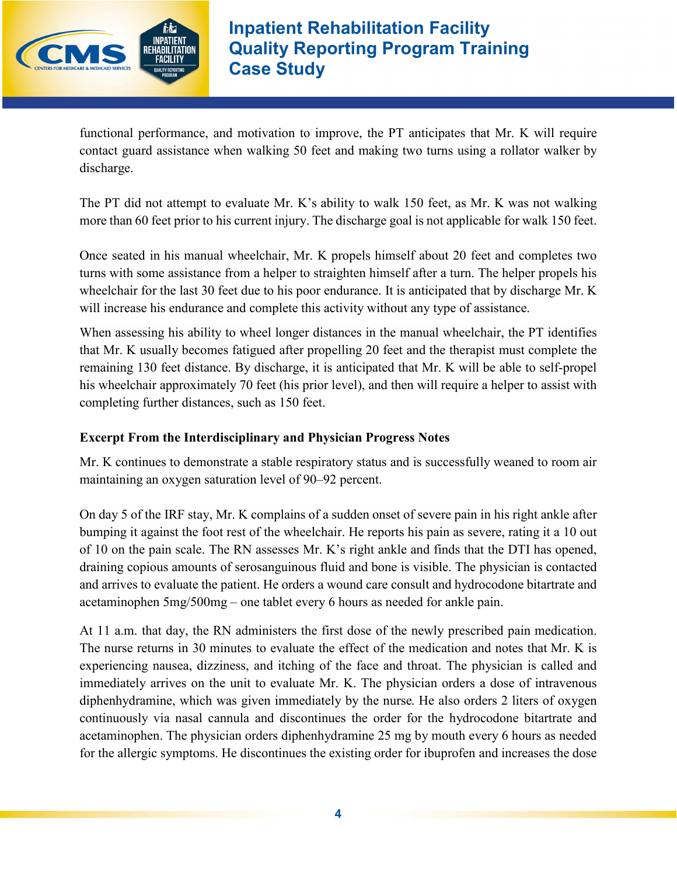

functional performance, and motivation to improve, the PT anticipates that Mr. K will require contact guard assistance when walking 50 feet and making two turns using a rollator walker by discharge.

The PT did not attempt to evaluate Mr. K's ability to walk 150 feet, as Mr. K was not walking more than 60 feet prior to his current injury. The discharge goal is not applicable for walk 150 feet.

Once seated in his manual wheelchair, Mr. K propels himself about 20 feet and completes two turns with some assistance from a helper to straighten himself after a turn. The helper propels his wheelchair for the last 30 feet due to his poor endurance. It is anticipated that by discharge Mr. K will increase his endurance and complete this activity without any type of assistance.

When assessing his ability to wheel longer distances in the manual wheelchair, the PT identifies that Mr. K usually becomes fatigued after propelling 20 feet and the therapist must complete the remaining 130 feet distance. By discharge, it is anticipated that Mr. K will be able to self-propel his wheelchair approximately 70 feet (his prior level), and then will require a helper to assist with completing further distances, such as 150 feet.

## **Excerpt From the Interdisciplinary and Physician Progress Notes**

Mr. K continues to demonstrate a stable respiratory status and is successfully weaned to room air maintaining an oxygen saturation level of 90–92 percent.

On day 5 of the IRF stay, Mr. K complains of a sudden onset of severe pain in his right ankle after bumping it against the foot rest of the wheelchair. He reports his pain as severe, rating it a 10 out of 10 on the pain scale. The RN assesses Mr. K's right ankle and finds that the DTI has opened, draining copious amounts of serosanguinous fluid and bone is visible. The physician is contacted and arrives to evaluate the patient. He orders a wound care consult and hydrocodone bitartrate and acetaminophen 5mg/500mg – one tablet every 6 hours as needed for ankle pain.

At 11 a.m. that day, the RN administers the first dose of the newly prescribed pain medication. The nurse returns in 30 minutes to evaluate the effect of the medication and notes that Mr. K is experiencing nausea, dizziness, and itching of the face and throat. The physician is called and immediately arrives on the unit to evaluate Mr. K. The physician orders a dose of intravenous diphenhydramine, which was given immediately by the nurse. He also orders 2 liters of oxygen continuously via nasal cannula and discontinues the order for the hydrocodone bitartrate and acetaminophen. The physician orders diphenhydramine 25 mg by mouth every 6 hours as needed for the allergic symptoms. He discontinues the existing order for ibuprofen and increases the dose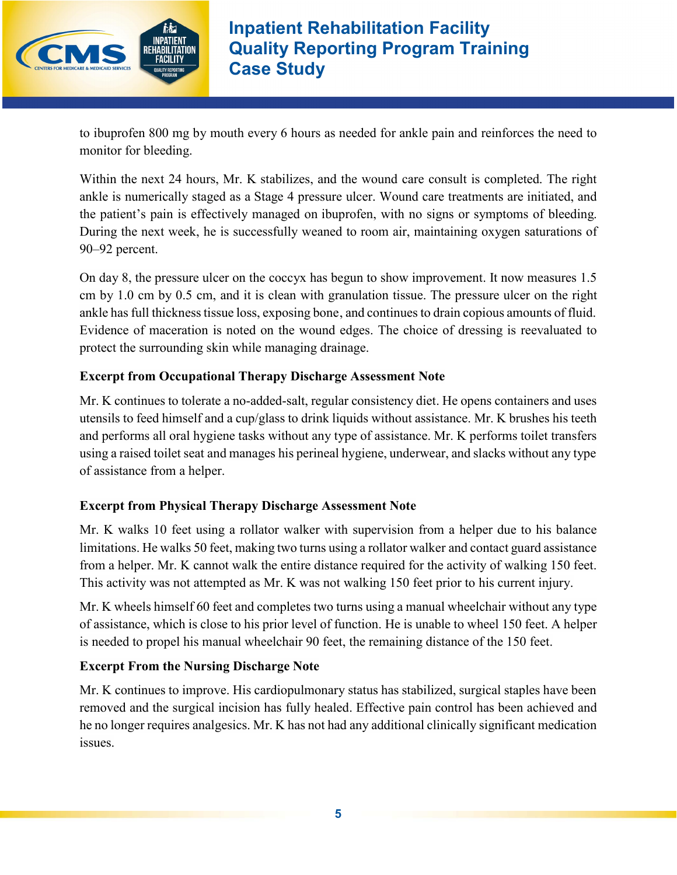

to ibuprofen 800 mg by mouth every 6 hours as needed for ankle pain and reinforces the need to monitor for bleeding.

Within the next 24 hours, Mr. K stabilizes, and the wound care consult is completed. The right ankle is numerically staged as a Stage 4 pressure ulcer. Wound care treatments are initiated, and the patient's pain is effectively managed on ibuprofen, with no signs or symptoms of bleeding. During the next week, he is successfully weaned to room air, maintaining oxygen saturations of 90–92 percent.

On day 8, the pressure ulcer on the coccyx has begun to show improvement. It now measures 1.5 cm by 1.0 cm by 0.5 cm, and it is clean with granulation tissue. The pressure ulcer on the right ankle has full thickness tissue loss, exposing bone, and continues to drain copious amounts of fluid. Evidence of maceration is noted on the wound edges. The choice of dressing is reevaluated to protect the surrounding skin while managing drainage.

## **Excerpt from Occupational Therapy Discharge Assessment Note**

Mr. K continues to tolerate a no-added-salt, regular consistency diet. He opens containers and uses utensils to feed himself and a cup/glass to drink liquids without assistance. Mr. K brushes his teeth and performs all oral hygiene tasks without any type of assistance. Mr. K performs toilet transfers using a raised toilet seat and manages his perineal hygiene, underwear, and slacks without any type of assistance from a helper.

### **Excerpt from Physical Therapy Discharge Assessment Note**

Mr. K walks 10 feet using a rollator walker with supervision from a helper due to his balance limitations. He walks 50 feet, making two turns using a rollator walker and contact guard assistance from a helper. Mr. K cannot walk the entire distance required for the activity of walking 150 feet. This activity was not attempted as Mr. K was not walking 150 feet prior to his current injury.

Mr. K wheels himself 60 feet and completes two turns using a manual wheelchair without any type of assistance, which is close to his prior level of function. He is unable to wheel 150 feet. A helper is needed to propel his manual wheelchair 90 feet, the remaining distance of the 150 feet.

### **Excerpt From the Nursing Discharge Note**

Mr. K continues to improve. His cardiopulmonary status has stabilized, surgical staples have been removed and the surgical incision has fully healed. Effective pain control has been achieved and he no longer requires analgesics. Mr. K has not had any additional clinically significant medication issues.